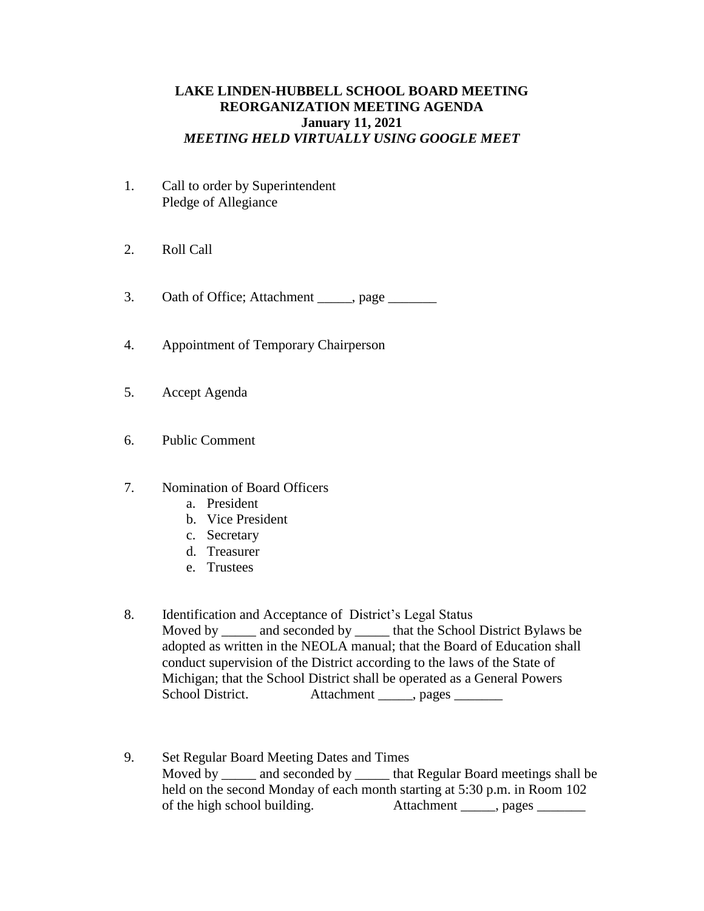## **LAKE LINDEN-HUBBELL SCHOOL BOARD MEETING REORGANIZATION MEETING AGENDA January 11, 2021** *MEETING HELD VIRTUALLY USING GOOGLE MEET*

- 1. Call to order by Superintendent Pledge of Allegiance
- 2. Roll Call

3. Oath of Office; Attachment \_\_\_\_\_, page \_\_\_\_\_\_\_

- 4. Appointment of Temporary Chairperson
- 5. Accept Agenda
- 6. Public Comment
- 7. Nomination of Board Officers
	- a. President
	- b. Vice President
	- c. Secretary
	- d. Treasurer
	- e. Trustees
- 8. Identification and Acceptance of District's Legal Status Moved by \_\_\_\_\_\_ and seconded by \_\_\_\_\_\_ that the School District Bylaws be adopted as written in the NEOLA manual; that the Board of Education shall conduct supervision of the District according to the laws of the State of Michigan; that the School District shall be operated as a General Powers School District. Attachment \_\_\_\_\_, pages \_\_\_\_\_\_\_
- 9. Set Regular Board Meeting Dates and Times Moved by and seconded by that Regular Board meetings shall be held on the second Monday of each month starting at 5:30 p.m. in Room 102 of the high school building. Attachment \_\_\_\_\_, pages \_\_\_\_\_\_\_